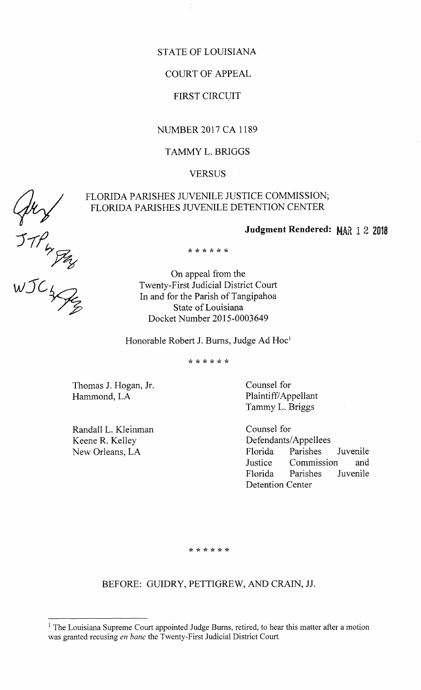## STATE OF LOUISIANA

## COURT OF APPEAL

# FIRST CIRCUIT

## NUMBER 2017 CA 1189

# TAMMY L. BRIGGS

## **VERSUS**

# FLORIDA PARISHES JUVENILE DETENTION CENTER

# Judgment Rendered: MAR 12 2018

\* \* \* \* \* \*

FLORIDA PARISHES JUVENILE JUSTICE COMMISSION;<br>
FLORIDA PARISHES JUVENILE DETENTION CENTER<br>
Judgment Rendered:<br>
THER<br>
WICE COMENTER<br>
WICE TWENTER<br>
THER<br>
In and for the Parish of Tangipahoa<br>
State of Louisiana On appeal from the Twenty-First Judicial District Court In and for the Parish of Tangipahoa State of Louisiana Docket Number 2015-0003649

Honorable Robert J. Burns, Judge Ad Hoc'

X X X X x X

Thomas J. Hogan, Jr. Counsel for Hammond, LA Plaintiff/Appellant

Randall L. Kleinman Keene R. Kelley New Orleans, LA

Tammy L. Briggs

Counsel for Defendants/Appellees Florida Parishes Juvenile Justice Commission and Florida Parishes Juvenile Detention Center

\* \* \* \* \* \*

# BEFORE: GUIDRY, PETTIGREW, AND CRAIN, JJ.

<sup>&</sup>lt;sup>1</sup> The Louisiana Supreme Court appointed Judge Burns, retired, to hear this matter after a motion was granted recusing en banc the Twenty-First Judicial District Court.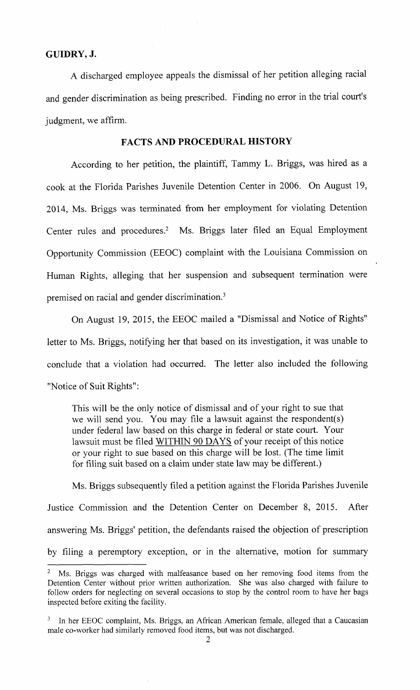### GUIDRY, J.

A discharged employee appeals the dismissal of her petition alleging racial and gender discrimination as being prescribed. Finding no error in the trial court's judgment, we affirm.

## FACTS AND PROCEDURAL HISTORY

According to her petition, the plaintiff, Tammy L. Briggs, was hired as <sup>a</sup> cook at the Florida Parishes Juvenile Detention Center in 2006. On August 19, 2014, Ms. Briggs was terminated from her employment for violating Detention Center rules and procedures.<sup>2</sup> Ms. Briggs later filed an Equal Employment Opportunity Commission (EEOC) complaint with the Louisiana Commission on Human Rights, alleging that her suspension and subsequent termination were premised on racial and gender discrimination.'

On August 19, 2015, the EEOC mailed a " Dismissal and Notice of Rights" letter to Ms. Briggs, notifying her that based on its investigation, it was unable to conclude that <sup>a</sup> violation had occurred. The letter also included the following Notice of Suit Rights":

This will be the only notice of dismissal and of your right to sue that we will send you. You may file a lawsuit against the respondent(s) under federal law based on this charge in federal or state court. Your lawsuit must be filed WITHIN 90 DAYS of your receipt of this notice or your right to sue based on this charge will be lost. ( The time limit for filing suit based on <sup>a</sup> claim under state law may be different.)

Ms. Briggs subsequently filed a petition against the Florida Parishes Juvenile Justice Commission and the Detention Center on December 8, 2015. After answering Ms. Briggs' petition, the defendants raised the objection of prescription by filing <sup>a</sup> peremptory exception, or in the alternative, motion for summary

<sup>2</sup> Ms. Briggs was charged with malfeasance based on her removing food items from the Detention Center without prior written authorization. She was also charged with failure to follow orders for neglecting on several occasions to stop by the control room to have her bags inspected before exiting the facility.

<sup>&</sup>lt;sup>3</sup> In her EEOC complaint, Ms. Briggs, an African American female, alleged that a Caucasian male co- worker had similarly removed food items, but was not discharged.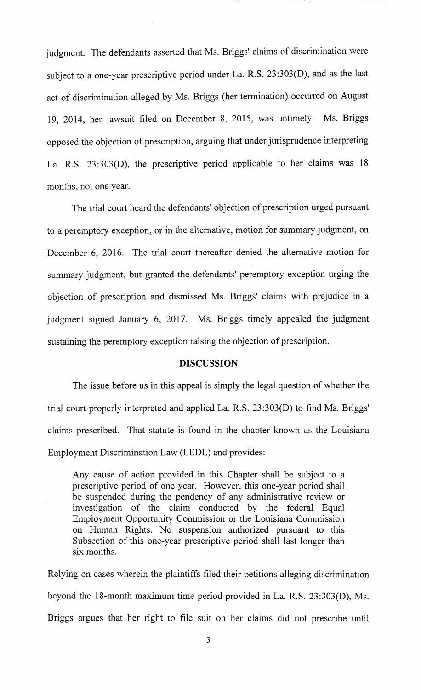judgment. The defendants asserted that Ms. Briggs' claims of discrimination were subject to a one-year prescriptive period under La. R.S. 23:303(D), and as the last act of discrimination alleged by Ms. Briggs ( her termination) occurred on August 19, 2014, her lawsuit filed on December 8, 2015, was untimely. Ms. Briggs opposed the objection of prescription, arguing that under jurisprudence interpreting La. R.S. 23:303(D), the prescriptive period applicable to her claims was 18 months, not one year.

The trial court heard the defendants' objection of prescription urged pursuant to a peremptory exception, or in the alternative, motion for summary judgment, on December 6, 2016. The trial court thereafter denied the alternative motion for summary judgment, but granted the defendants' peremptory exception urging the objection of prescription and dismissed Ms. Briggs' claims with prejudice in <sup>a</sup> judgment signed January 6, 2017. Ms. Briggs timely appealed the judgment sustaining the peremptory exception raising the objection of prescription.

### DISCUSSION

The issue before us in this appeal is simply the legal question of whether the trial court properly interpreted and applied La. R.S.  $23:303(D)$  to find Ms. Briggs' claims prescribed. That statute is found in the chapter known as the Louisiana Employment Discrimination Law (LEDL) and provides:

Any cause of action provided in this Chapter shall be subject to <sup>a</sup> prescriptive period of one year. However, this one- year period shall be suspended during the pendency of any administrative review or investigation of the claim conducted by the federal Equal Employment Opportunity Commission or the Louisiana Commission on Human Rights. No suspension authorized pursuant to this Subsection of this one-year prescriptive period shall last longer than six months.

Relying on cases wherein the plaintiffs filed their petitions alleging discrimination beyond the 18-month maximum time period provided in La. R.S. 23:303(D), Ms. Briggs argues that her right to file suit on her claims did not prescribe until

3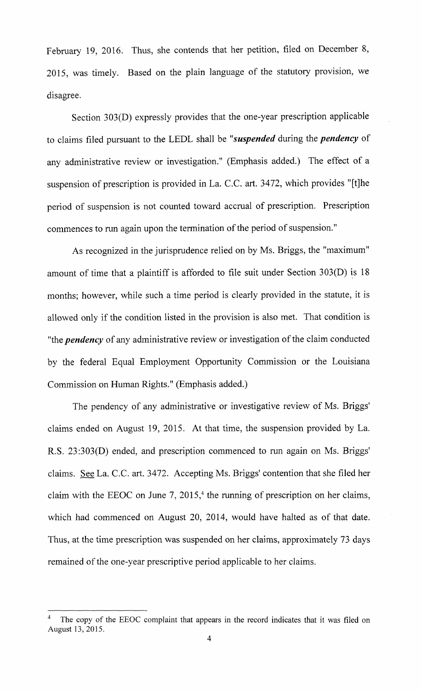February 19, 2016. Thus, she contends that her petition, filed on December 8, 2015, was timely. Based on the plain language of the statutory provision, we disagree.

Section 303(D) expressly provides that the one-year prescription applicable to claims filed pursuant to the LEDL shall be "suspended during the pendency of any administrative review or investigation." (Emphasis added.) The effect of a suspension of prescription is provided in La. C.C. art. 3472, which provides "[t]he period of suspension is not counted toward accrual of prescription. Prescription commences to run again upon the termination of the period of suspension."

As recognized in the jurisprudence relied on by Ms. Briggs, the " maximum" amount of time that a plaintiff is afforded to file suit under Section  $303(D)$  is 18 months; however, while such <sup>a</sup> time period is clearly provided in the statute, it is allowed only if the condition listed in the provision is also met. That condition is "the *pendency* of any administrative review or investigation of the claim conducted by the federal Equal Employment Opportunity Commission or the Louisiana Commission on Human Rights." (Emphasis added.)

The pendency of any administrative or investigative review of Ms. Briggs' claims ended on August 19, 2015. At that time, the suspension provided by La. R.S. 23:303(D) ended, and prescription commenced to run again on Ms. Briggs' claims. See La. C.C. art. 3472. Accepting Ms. Briggs' contention that she filed her claim with the EEOC on June 7,  $2015<sup>4</sup>$ , the running of prescription on her claims, which had commenced on August 20, 2014, would have halted as of that date. Thus, at the time prescription was suspended on her claims, approximately 73 days remained of the one-year prescriptive period applicable to her claims.

<sup>4</sup> The copy of the EEOC complaint that appears in the record indicates that it was filed on August 13, 2015.